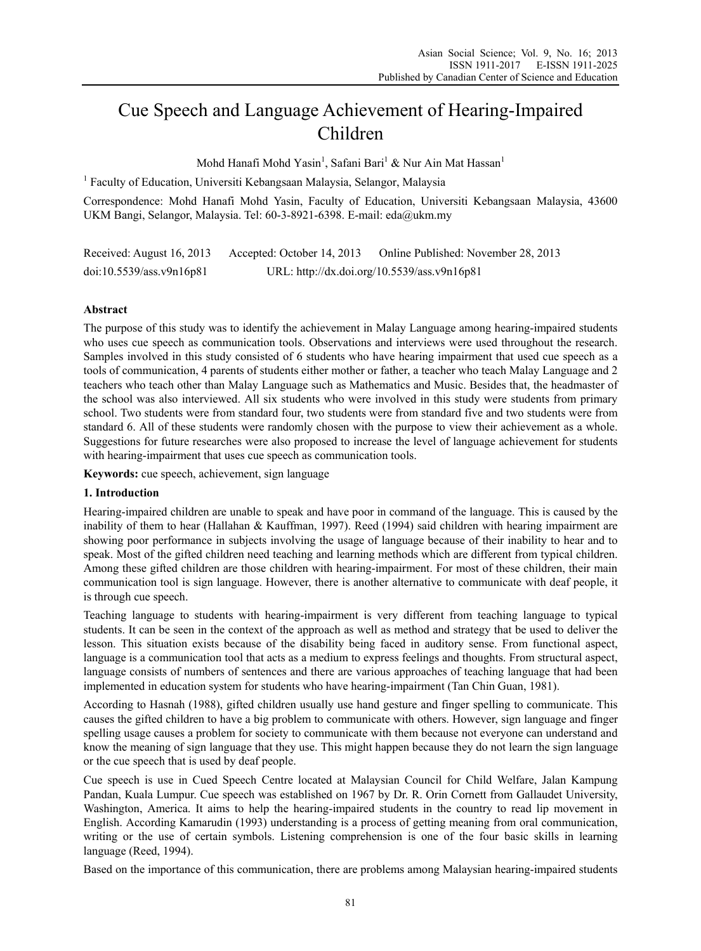# Cue Speech and Language Achievement of Hearing-Impaired Children

Mohd Hanafi Mohd Yasin<sup>1</sup>, Safani Bari<sup>1</sup> & Nur Ain Mat Hassan<sup>1</sup>

<sup>1</sup> Faculty of Education, Universiti Kebangsaan Malaysia, Selangor, Malaysia

Correspondence: Mohd Hanafi Mohd Yasin, Faculty of Education, Universiti Kebangsaan Malaysia, 43600 UKM Bangi, Selangor, Malaysia. Tel: 60-3-8921-6398. E-mail: eda@ukm.my

Received: August 16, 2013 Accepted: October 14, 2013 Online Published: November 28, 2013 doi:10.5539/ass.v9n16p81 URL: http://dx.doi.org/10.5539/ass.v9n16p81

## **Abstract**

The purpose of this study was to identify the achievement in Malay Language among hearing-impaired students who uses cue speech as communication tools. Observations and interviews were used throughout the research. Samples involved in this study consisted of 6 students who have hearing impairment that used cue speech as a tools of communication, 4 parents of students either mother or father, a teacher who teach Malay Language and 2 teachers who teach other than Malay Language such as Mathematics and Music. Besides that, the headmaster of the school was also interviewed. All six students who were involved in this study were students from primary school. Two students were from standard four, two students were from standard five and two students were from standard 6. All of these students were randomly chosen with the purpose to view their achievement as a whole. Suggestions for future researches were also proposed to increase the level of language achievement for students with hearing-impairment that uses cue speech as communication tools.

**Keywords:** cue speech, achievement, sign language

## **1. Introduction**

Hearing-impaired children are unable to speak and have poor in command of the language. This is caused by the inability of them to hear (Hallahan & Kauffman, 1997). Reed (1994) said children with hearing impairment are showing poor performance in subjects involving the usage of language because of their inability to hear and to speak. Most of the gifted children need teaching and learning methods which are different from typical children. Among these gifted children are those children with hearing-impairment. For most of these children, their main communication tool is sign language. However, there is another alternative to communicate with deaf people, it is through cue speech.

Teaching language to students with hearing-impairment is very different from teaching language to typical students. It can be seen in the context of the approach as well as method and strategy that be used to deliver the lesson. This situation exists because of the disability being faced in auditory sense. From functional aspect, language is a communication tool that acts as a medium to express feelings and thoughts. From structural aspect, language consists of numbers of sentences and there are various approaches of teaching language that had been implemented in education system for students who have hearing-impairment (Tan Chin Guan, 1981).

According to Hasnah (1988), gifted children usually use hand gesture and finger spelling to communicate. This causes the gifted children to have a big problem to communicate with others. However, sign language and finger spelling usage causes a problem for society to communicate with them because not everyone can understand and know the meaning of sign language that they use. This might happen because they do not learn the sign language or the cue speech that is used by deaf people.

Cue speech is use in Cued Speech Centre located at Malaysian Council for Child Welfare, Jalan Kampung Pandan, Kuala Lumpur. Cue speech was established on 1967 by Dr. R. Orin Cornett from Gallaudet University, Washington, America. It aims to help the hearing-impaired students in the country to read lip movement in English. According Kamarudin (1993) understanding is a process of getting meaning from oral communication, writing or the use of certain symbols. Listening comprehension is one of the four basic skills in learning language (Reed, 1994).

Based on the importance of this communication, there are problems among Malaysian hearing-impaired students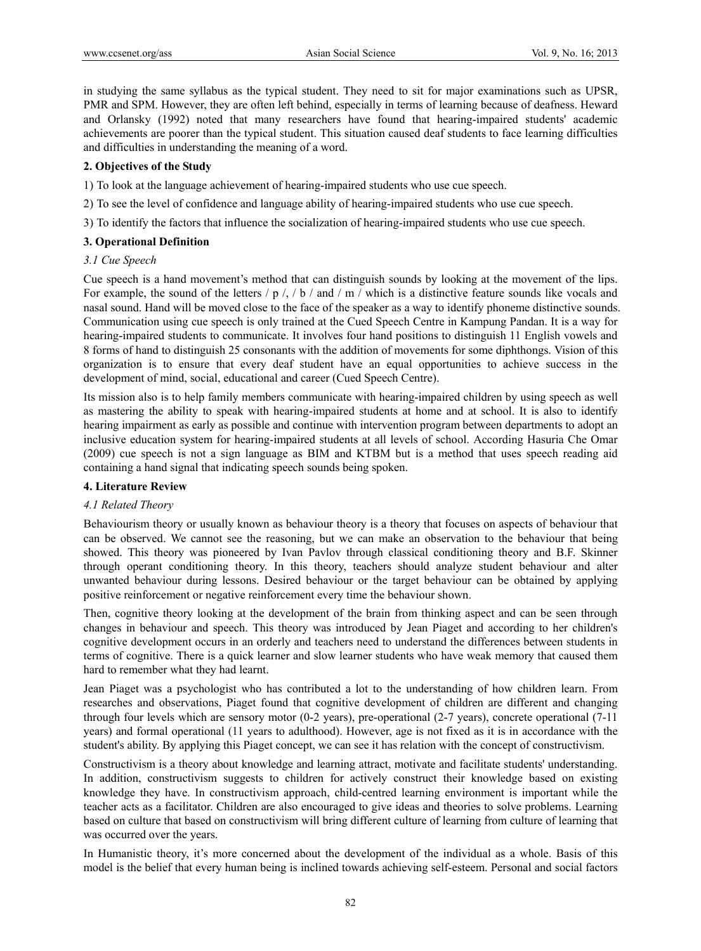in studying the same syllabus as the typical student. They need to sit for major examinations such as UPSR, PMR and SPM. However, they are often left behind, especially in terms of learning because of deafness. Heward and Orlansky (1992) noted that many researchers have found that hearing-impaired students' academic achievements are poorer than the typical student. This situation caused deaf students to face learning difficulties and difficulties in understanding the meaning of a word.

## **2. Objectives of the Study**

1) To look at the language achievement of hearing-impaired students who use cue speech.

- 2) To see the level of confidence and language ability of hearing-impaired students who use cue speech.
- 3) To identify the factors that influence the socialization of hearing-impaired students who use cue speech.

## **3. Operational Definition**

## *3.1 Cue Speech*

Cue speech is a hand movement's method that can distinguish sounds by looking at the movement of the lips. For example, the sound of the letters / p /, / b / and / m / which is a distinctive feature sounds like vocals and nasal sound. Hand will be moved close to the face of the speaker as a way to identify phoneme distinctive sounds. Communication using cue speech is only trained at the Cued Speech Centre in Kampung Pandan. It is a way for hearing-impaired students to communicate. It involves four hand positions to distinguish 11 English vowels and 8 forms of hand to distinguish 25 consonants with the addition of movements for some diphthongs. Vision of this organization is to ensure that every deaf student have an equal opportunities to achieve success in the development of mind, social, educational and career (Cued Speech Centre).

Its mission also is to help family members communicate with hearing-impaired children by using speech as well as mastering the ability to speak with hearing-impaired students at home and at school. It is also to identify hearing impairment as early as possible and continue with intervention program between departments to adopt an inclusive education system for hearing-impaired students at all levels of school. According Hasuria Che Omar (2009) cue speech is not a sign language as BIM and KTBM but is a method that uses speech reading aid containing a hand signal that indicating speech sounds being spoken.

#### **4. Literature Review**

#### *4.1 Related Theory*

Behaviourism theory or usually known as behaviour theory is a theory that focuses on aspects of behaviour that can be observed. We cannot see the reasoning, but we can make an observation to the behaviour that being showed. This theory was pioneered by Ivan Pavlov through classical conditioning theory and B.F. Skinner through operant conditioning theory. In this theory, teachers should analyze student behaviour and alter unwanted behaviour during lessons. Desired behaviour or the target behaviour can be obtained by applying positive reinforcement or negative reinforcement every time the behaviour shown.

Then, cognitive theory looking at the development of the brain from thinking aspect and can be seen through changes in behaviour and speech. This theory was introduced by Jean Piaget and according to her children's cognitive development occurs in an orderly and teachers need to understand the differences between students in terms of cognitive. There is a quick learner and slow learner students who have weak memory that caused them hard to remember what they had learnt.

Jean Piaget was a psychologist who has contributed a lot to the understanding of how children learn. From researches and observations, Piaget found that cognitive development of children are different and changing through four levels which are sensory motor (0-2 years), pre-operational (2-7 years), concrete operational (7-11 years) and formal operational (11 years to adulthood). However, age is not fixed as it is in accordance with the student's ability. By applying this Piaget concept, we can see it has relation with the concept of constructivism.

Constructivism is a theory about knowledge and learning attract, motivate and facilitate students' understanding. In addition, constructivism suggests to children for actively construct their knowledge based on existing knowledge they have. In constructivism approach, child-centred learning environment is important while the teacher acts as a facilitator. Children are also encouraged to give ideas and theories to solve problems. Learning based on culture that based on constructivism will bring different culture of learning from culture of learning that was occurred over the years.

In Humanistic theory, it's more concerned about the development of the individual as a whole. Basis of this model is the belief that every human being is inclined towards achieving self-esteem. Personal and social factors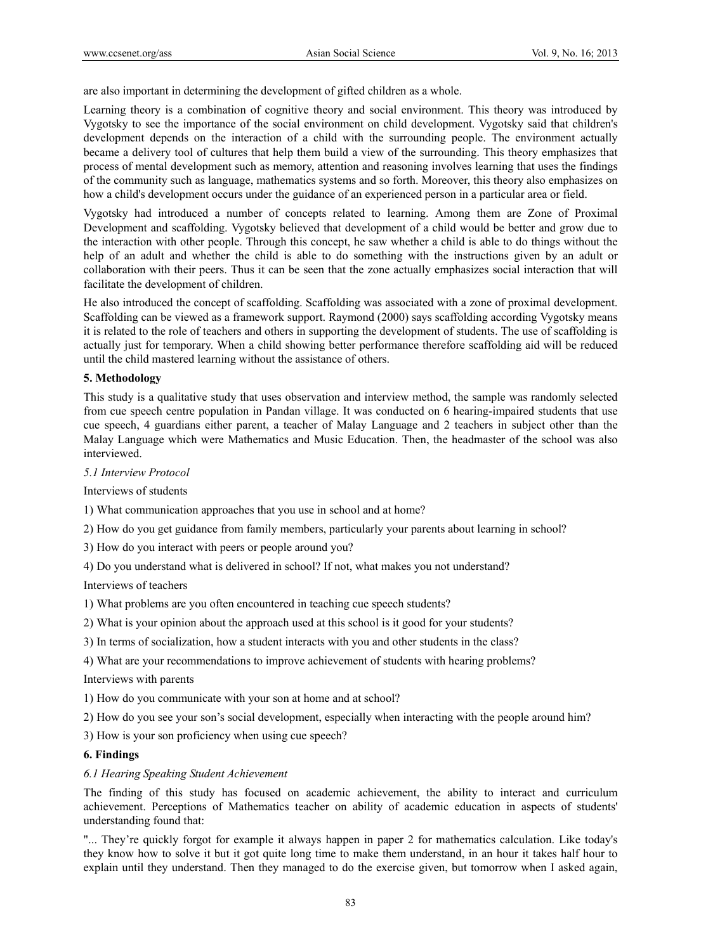are also important in determining the development of gifted children as a whole.

Learning theory is a combination of cognitive theory and social environment. This theory was introduced by Vygotsky to see the importance of the social environment on child development. Vygotsky said that children's development depends on the interaction of a child with the surrounding people. The environment actually became a delivery tool of cultures that help them build a view of the surrounding. This theory emphasizes that process of mental development such as memory, attention and reasoning involves learning that uses the findings of the community such as language, mathematics systems and so forth. Moreover, this theory also emphasizes on how a child's development occurs under the guidance of an experienced person in a particular area or field.

Vygotsky had introduced a number of concepts related to learning. Among them are Zone of Proximal Development and scaffolding. Vygotsky believed that development of a child would be better and grow due to the interaction with other people. Through this concept, he saw whether a child is able to do things without the help of an adult and whether the child is able to do something with the instructions given by an adult or collaboration with their peers. Thus it can be seen that the zone actually emphasizes social interaction that will facilitate the development of children.

He also introduced the concept of scaffolding. Scaffolding was associated with a zone of proximal development. Scaffolding can be viewed as a framework support. Raymond (2000) says scaffolding according Vygotsky means it is related to the role of teachers and others in supporting the development of students. The use of scaffolding is actually just for temporary. When a child showing better performance therefore scaffolding aid will be reduced until the child mastered learning without the assistance of others.

## **5. Methodology**

This study is a qualitative study that uses observation and interview method, the sample was randomly selected from cue speech centre population in Pandan village. It was conducted on 6 hearing-impaired students that use cue speech, 4 guardians either parent, a teacher of Malay Language and 2 teachers in subject other than the Malay Language which were Mathematics and Music Education. Then, the headmaster of the school was also interviewed.

## *5.1 Interview Protocol*

Interviews of students

1) What communication approaches that you use in school and at home?

2) How do you get guidance from family members, particularly your parents about learning in school?

3) How do you interact with peers or people around you?

4) Do you understand what is delivered in school? If not, what makes you not understand?

Interviews of teachers

1) What problems are you often encountered in teaching cue speech students?

- 2) What is your opinion about the approach used at this school is it good for your students?
- 3) In terms of socialization, how a student interacts with you and other students in the class?
- 4) What are your recommendations to improve achievement of students with hearing problems?

Interviews with parents

1) How do you communicate with your son at home and at school?

2) How do you see your son's social development, especially when interacting with the people around him?

3) How is your son proficiency when using cue speech?

## **6. Findings**

## *6.1 Hearing Speaking Student Achievement*

The finding of this study has focused on academic achievement, the ability to interact and curriculum achievement. Perceptions of Mathematics teacher on ability of academic education in aspects of students' understanding found that:

"... They're quickly forgot for example it always happen in paper 2 for mathematics calculation. Like today's they know how to solve it but it got quite long time to make them understand, in an hour it takes half hour to explain until they understand. Then they managed to do the exercise given, but tomorrow when I asked again,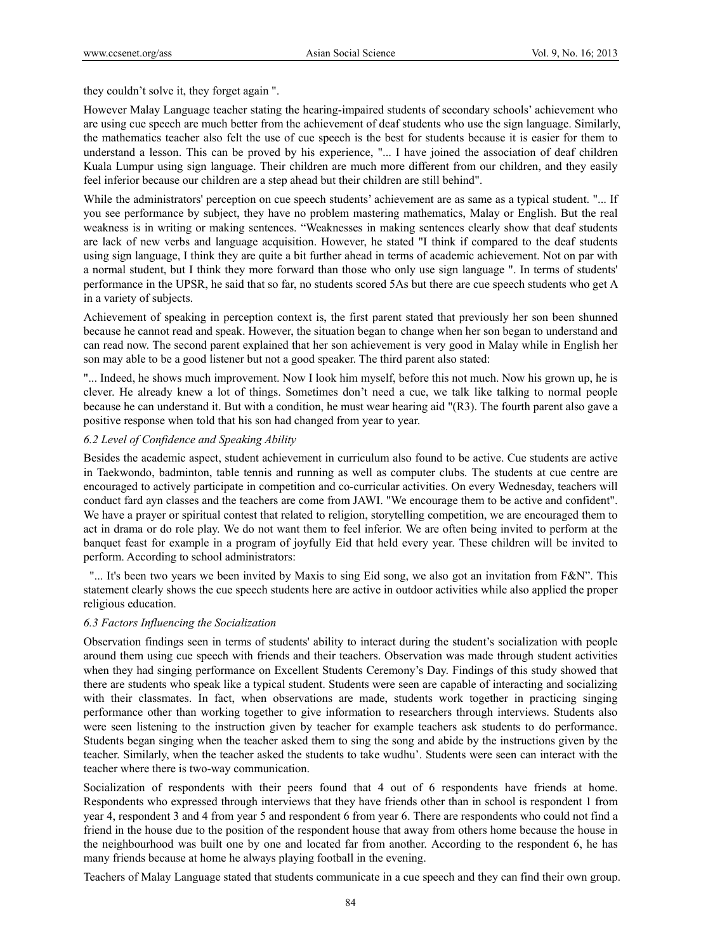they couldn't solve it, they forget again ".

However Malay Language teacher stating the hearing-impaired students of secondary schools' achievement who are using cue speech are much better from the achievement of deaf students who use the sign language. Similarly, the mathematics teacher also felt the use of cue speech is the best for students because it is easier for them to understand a lesson. This can be proved by his experience, "... I have joined the association of deaf children Kuala Lumpur using sign language. Their children are much more different from our children, and they easily feel inferior because our children are a step ahead but their children are still behind".

While the administrators' perception on cue speech students' achievement are as same as a typical student. "... If you see performance by subject, they have no problem mastering mathematics, Malay or English. But the real weakness is in writing or making sentences. "Weaknesses in making sentences clearly show that deaf students are lack of new verbs and language acquisition. However, he stated "I think if compared to the deaf students using sign language, I think they are quite a bit further ahead in terms of academic achievement. Not on par with a normal student, but I think they more forward than those who only use sign language ". In terms of students' performance in the UPSR, he said that so far, no students scored 5As but there are cue speech students who get A in a variety of subjects.

Achievement of speaking in perception context is, the first parent stated that previously her son been shunned because he cannot read and speak. However, the situation began to change when her son began to understand and can read now. The second parent explained that her son achievement is very good in Malay while in English her son may able to be a good listener but not a good speaker. The third parent also stated:

"... Indeed, he shows much improvement. Now I look him myself, before this not much. Now his grown up, he is clever. He already knew a lot of things. Sometimes don't need a cue, we talk like talking to normal people because he can understand it. But with a condition, he must wear hearing aid "(R3). The fourth parent also gave a positive response when told that his son had changed from year to year.

## *6.2 Level of Confidence and Speaking Ability*

Besides the academic aspect, student achievement in curriculum also found to be active. Cue students are active in Taekwondo, badminton, table tennis and running as well as computer clubs. The students at cue centre are encouraged to actively participate in competition and co-curricular activities. On every Wednesday, teachers will conduct fard ayn classes and the teachers are come from JAWI. "We encourage them to be active and confident". We have a prayer or spiritual contest that related to religion, storytelling competition, we are encouraged them to act in drama or do role play. We do not want them to feel inferior. We are often being invited to perform at the banquet feast for example in a program of joyfully Eid that held every year. These children will be invited to perform. According to school administrators:

 "... It's been two years we been invited by Maxis to sing Eid song, we also got an invitation from F&N". This statement clearly shows the cue speech students here are active in outdoor activities while also applied the proper religious education.

## *6.3 Factors Influencing the Socialization*

Observation findings seen in terms of students' ability to interact during the student's socialization with people around them using cue speech with friends and their teachers. Observation was made through student activities when they had singing performance on Excellent Students Ceremony's Day. Findings of this study showed that there are students who speak like a typical student. Students were seen are capable of interacting and socializing with their classmates. In fact, when observations are made, students work together in practicing singing performance other than working together to give information to researchers through interviews. Students also were seen listening to the instruction given by teacher for example teachers ask students to do performance. Students began singing when the teacher asked them to sing the song and abide by the instructions given by the teacher. Similarly, when the teacher asked the students to take wudhu'. Students were seen can interact with the teacher where there is two-way communication.

Socialization of respondents with their peers found that 4 out of 6 respondents have friends at home. Respondents who expressed through interviews that they have friends other than in school is respondent 1 from year 4, respondent 3 and 4 from year 5 and respondent 6 from year 6. There are respondents who could not find a friend in the house due to the position of the respondent house that away from others home because the house in the neighbourhood was built one by one and located far from another. According to the respondent 6, he has many friends because at home he always playing football in the evening.

Teachers of Malay Language stated that students communicate in a cue speech and they can find their own group.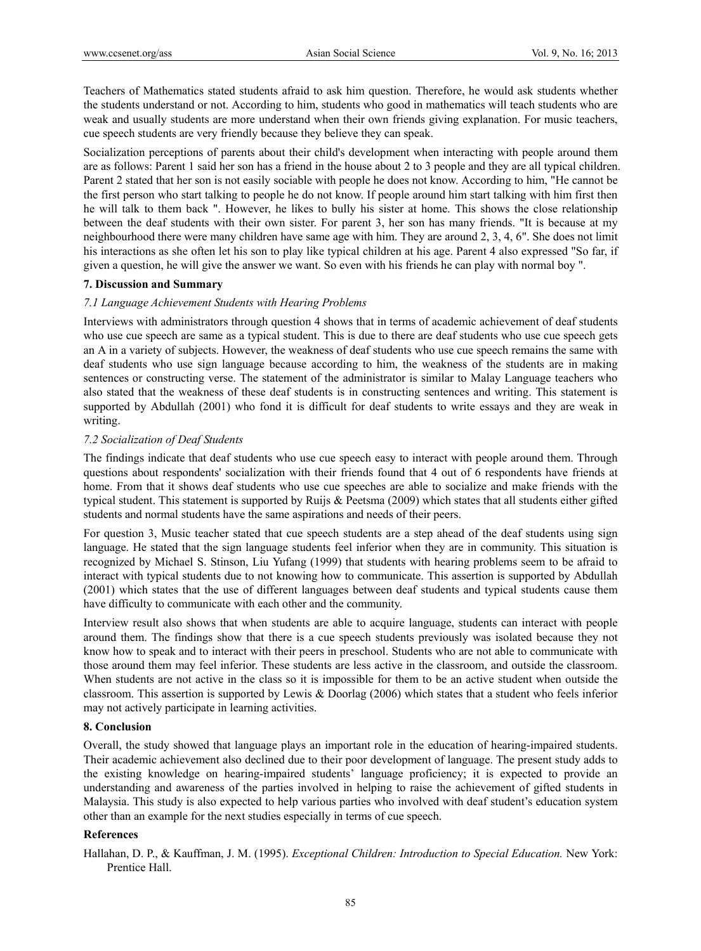Teachers of Mathematics stated students afraid to ask him question. Therefore, he would ask students whether the students understand or not. According to him, students who good in mathematics will teach students who are weak and usually students are more understand when their own friends giving explanation. For music teachers, cue speech students are very friendly because they believe they can speak.

Socialization perceptions of parents about their child's development when interacting with people around them are as follows: Parent 1 said her son has a friend in the house about 2 to 3 people and they are all typical children. Parent 2 stated that her son is not easily sociable with people he does not know. According to him, "He cannot be the first person who start talking to people he do not know. If people around him start talking with him first then he will talk to them back ". However, he likes to bully his sister at home. This shows the close relationship between the deaf students with their own sister. For parent 3, her son has many friends. "It is because at my neighbourhood there were many children have same age with him. They are around 2, 3, 4, 6". She does not limit his interactions as she often let his son to play like typical children at his age. Parent 4 also expressed "So far, if given a question, he will give the answer we want. So even with his friends he can play with normal boy ".

## **7. Discussion and Summary**

## *7.1 Language Achievement Students with Hearing Problems*

Interviews with administrators through question 4 shows that in terms of academic achievement of deaf students who use cue speech are same as a typical student. This is due to there are deaf students who use cue speech gets an A in a variety of subjects. However, the weakness of deaf students who use cue speech remains the same with deaf students who use sign language because according to him, the weakness of the students are in making sentences or constructing verse. The statement of the administrator is similar to Malay Language teachers who also stated that the weakness of these deaf students is in constructing sentences and writing. This statement is supported by Abdullah (2001) who fond it is difficult for deaf students to write essays and they are weak in writing.

## *7.2 Socialization of Deaf Students*

The findings indicate that deaf students who use cue speech easy to interact with people around them. Through questions about respondents' socialization with their friends found that 4 out of 6 respondents have friends at home. From that it shows deaf students who use cue speeches are able to socialize and make friends with the typical student. This statement is supported by Ruijs & Peetsma (2009) which states that all students either gifted students and normal students have the same aspirations and needs of their peers.

For question 3, Music teacher stated that cue speech students are a step ahead of the deaf students using sign language. He stated that the sign language students feel inferior when they are in community. This situation is recognized by Michael S. Stinson, Liu Yufang (1999) that students with hearing problems seem to be afraid to interact with typical students due to not knowing how to communicate. This assertion is supported by Abdullah (2001) which states that the use of different languages between deaf students and typical students cause them have difficulty to communicate with each other and the community.

Interview result also shows that when students are able to acquire language, students can interact with people around them. The findings show that there is a cue speech students previously was isolated because they not know how to speak and to interact with their peers in preschool. Students who are not able to communicate with those around them may feel inferior. These students are less active in the classroom, and outside the classroom. When students are not active in the class so it is impossible for them to be an active student when outside the classroom. This assertion is supported by Lewis & Doorlag (2006) which states that a student who feels inferior may not actively participate in learning activities.

## **8. Conclusion**

Overall, the study showed that language plays an important role in the education of hearing-impaired students. Their academic achievement also declined due to their poor development of language. The present study adds to the existing knowledge on hearing-impaired students' language proficiency; it is expected to provide an understanding and awareness of the parties involved in helping to raise the achievement of gifted students in Malaysia. This study is also expected to help various parties who involved with deaf student's education system other than an example for the next studies especially in terms of cue speech.

#### **References**

Hallahan, D. P., & Kauffman, J. M. (1995). *Exceptional Children: Introduction to Special Education.* New York: Prentice Hall.